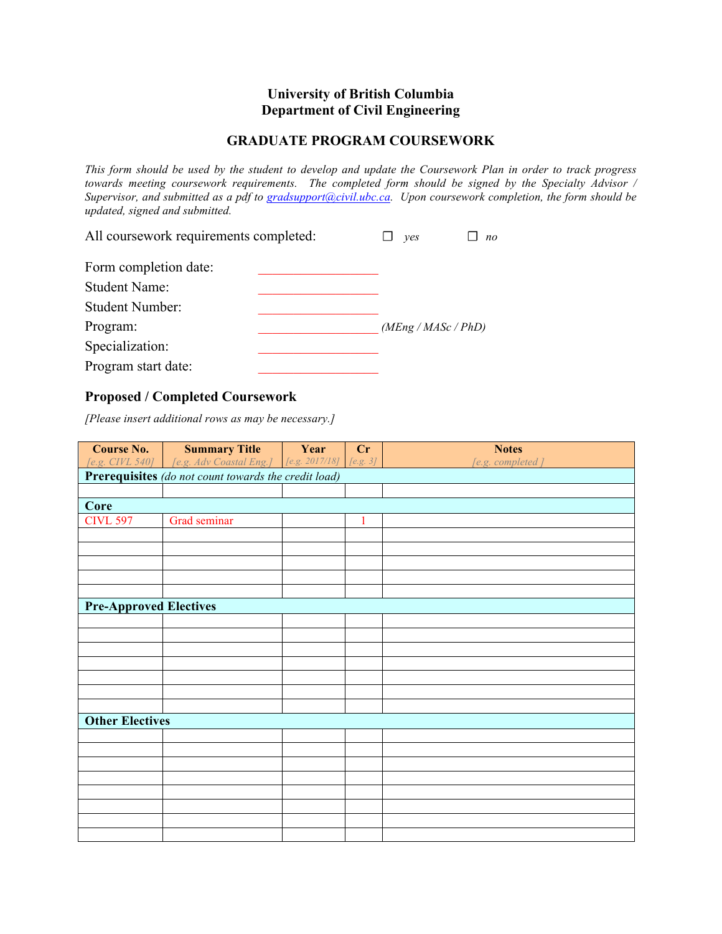## **University of British Columbia Department of Civil Engineering**

## **GRADUATE PROGRAM COURSEWORK**

*This form should be used by the student to develop and update the Coursework Plan in order to track progress towards meeting coursework requirements. The completed form should be signed by the Specialty Advisor / Supervisor, and submitted as a pdf to gradsupport@civil.ubc.ca. Upon coursework completion, the form should be updated, signed and submitted.*

| All coursework requirements completed: | yes | n <sub>0</sub>      |  |
|----------------------------------------|-----|---------------------|--|
| Form completion date:                  |     |                     |  |
| <b>Student Name:</b>                   |     |                     |  |
| <b>Student Number:</b>                 |     |                     |  |
| Program:                               |     | (MEng / MASC / PhD) |  |
| Specialization:                        |     |                     |  |
| Program start date:                    |     |                     |  |

## **Proposed / Completed Coursework**

*[Please insert additional rows as may be necessary.]*

| <b>Course No.</b>                                    | <b>Summary Title</b>                                   | Year | Cr       | <b>Notes</b>     |  |
|------------------------------------------------------|--------------------------------------------------------|------|----------|------------------|--|
|                                                      | [e.g. CIVL 540] [e.g. Adv Coastal Eng.] [e.g. 2017/18] |      | [e.g. 3] | [e.g. completed] |  |
| Prerequisites (do not count towards the credit load) |                                                        |      |          |                  |  |
|                                                      |                                                        |      |          |                  |  |
| Core                                                 |                                                        |      |          |                  |  |
| <b>CIVL 597</b>                                      | Grad seminar                                           |      | 1        |                  |  |
|                                                      |                                                        |      |          |                  |  |
|                                                      |                                                        |      |          |                  |  |
|                                                      |                                                        |      |          |                  |  |
|                                                      |                                                        |      |          |                  |  |
|                                                      |                                                        |      |          |                  |  |
| <b>Pre-Approved Electives</b>                        |                                                        |      |          |                  |  |
|                                                      |                                                        |      |          |                  |  |
|                                                      |                                                        |      |          |                  |  |
|                                                      |                                                        |      |          |                  |  |
|                                                      |                                                        |      |          |                  |  |
|                                                      |                                                        |      |          |                  |  |
|                                                      |                                                        |      |          |                  |  |
|                                                      |                                                        |      |          |                  |  |
| <b>Other Electives</b>                               |                                                        |      |          |                  |  |
|                                                      |                                                        |      |          |                  |  |
|                                                      |                                                        |      |          |                  |  |
|                                                      |                                                        |      |          |                  |  |
|                                                      |                                                        |      |          |                  |  |
|                                                      |                                                        |      |          |                  |  |
|                                                      |                                                        |      |          |                  |  |
|                                                      |                                                        |      |          |                  |  |
|                                                      |                                                        |      |          |                  |  |